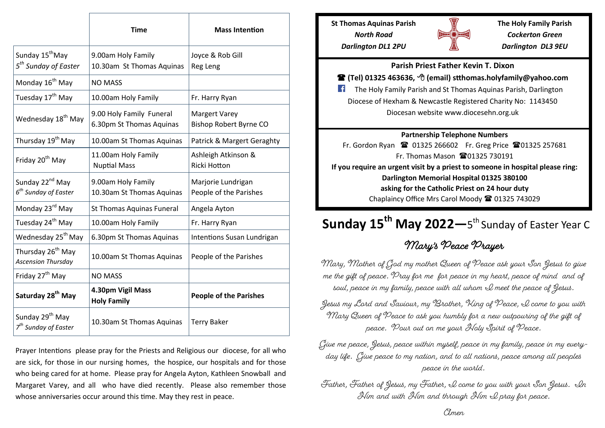|                                                                 | <b>Time</b>                                          | <b>Mass Intention</b>                                 |
|-----------------------------------------------------------------|------------------------------------------------------|-------------------------------------------------------|
| Sunday 15 <sup>th</sup> May<br>5 <sup>th</sup> Sunday of Easter | 9.00am Holy Family<br>10.30am St Thomas Aquinas      | Joyce & Rob Gill<br>Reg Leng                          |
| Monday 16 <sup>th</sup> May                                     | <b>NO MASS</b>                                       |                                                       |
| Tuesday 17 <sup>th</sup> May                                    | 10.00am Holy Family                                  | Fr. Harry Ryan                                        |
| Wednesday 18 <sup>th</sup> May                                  | 9.00 Holy Family Funeral<br>6.30pm St Thomas Aquinas | <b>Margert Varey</b><br><b>Bishop Robert Byrne CO</b> |
| Thursday 19 <sup>th</sup> May                                   | 10.00am St Thomas Aquinas                            | Patrick & Margert Geraghty                            |
| Friday 20 <sup>th</sup> May                                     | 11.00am Holy Family<br><b>Nuptial Mass</b>           | Ashleigh Atkinson &<br>Ricki Hotton                   |
| Sunday 22 <sup>nd</sup> May<br>6 <sup>th</sup> Sunday of Easter | 9.00am Holy Family<br>10.30am St Thomas Aquinas      | Marjorie Lundrigan<br>People of the Parishes          |
| Monday 23 <sup>rd</sup> May                                     | St Thomas Aquinas Funeral                            | Angela Ayton                                          |
| Tuesday 24 <sup>th</sup> May                                    | 10.00am Holy Family                                  | Fr. Harry Ryan                                        |
| Wednesday 25 <sup>th</sup> May                                  | 6.30pm St Thomas Aquinas                             | Intentions Susan Lundrigan                            |
| Thursday 26 <sup>th</sup> May<br><b>Ascension Thursday</b>      | 10.00am St Thomas Aquinas                            | People of the Parishes                                |
| Friday 27 <sup>th</sup> May                                     | <b>NO MASS</b>                                       |                                                       |
| Saturday 28 <sup>th</sup> May                                   | 4.30pm Vigil Mass<br><b>Holy Family</b>              | <b>People of the Parishes</b>                         |
| Sunday 29 <sup>th</sup> May<br>7 <sup>th</sup> Sunday of Easter | 10.30am St Thomas Aquinas                            | <b>Terry Baker</b>                                    |

Prayer Intentions please pray for the Priests and Religious our diocese, for all who are sick, for those in our nursing homes, the hospice, our hospitals and for those who being cared for at home. Please pray for Angela Ayton, Kathleen Snowball and Margaret Varey, and all who have died recently. Please also remember those whose anniversaries occur around this time. May they rest in peace.

**St Thomas Aquinas Parish** *North Road Darlington DL1 2PU*



**The Holy Family Parish** *Cockerton Green Darlington DL3 9EU*

#### **Parish Priest Father Kevin T. Dixon**

### **(Tel) 01325 463636, (email) stthomas.holyfamily@yahoo.com**

The Holy Family Parish and St Thomas Aquinas Parish, Darlington  $\mathcal{L}$ Diocese of Hexham & Newcastle Registered Charity No: 1143450 Diocesan website www.diocesehn.org.uk

#### **Partnership Telephone Numbers**

Fr. Gordon Ryan <sup>2</sup> 01325 266602 Fr. Greg Price <sup>2</sup> 01325 257681 Fr. Thomas Mason  $\,$  10 $\,$  01325 730191 **If you require an urgent visit by a priest to someone in hospital please ring: Darlington Memorial Hospital 01325 380100 asking for the Catholic Priest on 24 hour duty** Chaplaincy Office Mrs Carol Moody <sup>2</sup> 01325 743029

# **Sunday 15th May 2022—**<sup>5</sup> th Sunday of Easter Year C

## Mary's Peace Prayer

Mary, Mother of God my mother Queen of Peace ask your Son Jesus to give me the gift of peace. Pray for me for peace in my heart, peace of mind and of soul, peace in my family, peace with all whom  $\mathcal Q$  meet the peace of Jesus.

Jesus my Lord and Saviour, my Brother, King of Peace, I come to you with Mary Queen of Peace to ask you humbly for a new outpouring of the gift of peace. Pour out on me your Holy Spirit of Peace.

Give me peace, Jesus, peace within myself, peace in my family, peace in my everyday life. Give peace to my nation, and to all nations, peace among all peoples peace in the world.

Father, Father of Desus, my Father, I come to you with your Son Desus. In Him and with Him and through Him I pray for peace.